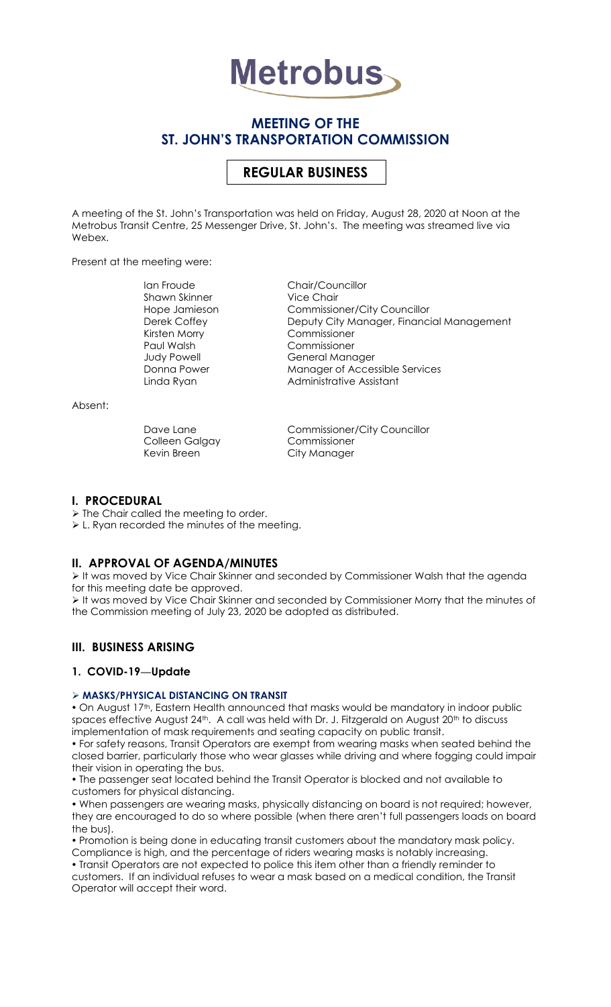

# **MEETING OF THE ST. JOHN'S TRANSPORTATION COMMISSION**

# **REGULAR BUSINESS**

A meeting of the St. John's Transportation was held on Friday, August 28, 2020 at Noon at the Metrobus Transit Centre, 25 Messenger Drive, St. John's. The meeting was streamed live via Webex.

Present at the meeting were:

Ian Froude Chair/Councillor Shawn Skinner **Vice Chair** Paul Walsh Commissioner

Hope Jamieson Commissioner/City Councillor Derek Coffey Deputy City Manager, Financial Management<br>Kirsten Morry Commissioner Commissioner Judy Powell General Manager Donna Power Manager of Accessible Services Linda Ryan **Administrative Assistant** 

Absent:

Colleen Galgay Commissioner Kevin Breen City Manager

Dave Lane Commissioner/City Councillor

#### **I. PROCEDURAL**

> The Chair called the meeting to order.

L. Ryan recorded the minutes of the meeting.

## **II. APPROVAL OF AGENDA/MINUTES**

 It was moved by Vice Chair Skinner and seconded by Commissioner Walsh that the agenda for this meeting date be approved.

 It was moved by Vice Chair Skinner and seconded by Commissioner Morry that the minutes of the Commission meeting of July 23, 2020 be adopted as distributed.

## **III. BUSINESS ARISING**

## **1. COVID-19—Update**

#### **MASKS/PHYSICAL DISTANCING ON TRANSIT**

. On August 17th, Eastern Health announced that masks would be mandatory in indoor public spaces effective August 24<sup>th</sup>. A call was held with Dr. J. Fitzgerald on August 20<sup>th</sup> to discuss implementation of mask requirements and seating capacity on public transit.

 For safety reasons, Transit Operators are exempt from wearing masks when seated behind the closed barrier, particularly those who wear glasses while driving and where fogging could impair their vision in operating the bus.

 The passenger seat located behind the Transit Operator is blocked and not available to customers for physical distancing.

 When passengers are wearing masks, physically distancing on board is not required; however, they are encouraged to do so where possible (when there aren't full passengers loads on board the bus).

 Promotion is being done in educating transit customers about the mandatory mask policy. Compliance is high, and the percentage of riders wearing masks is notably increasing.

Transit Operators are not expected to police this item other than a friendly reminder to

customers. If an individual refuses to wear a mask based on a medical condition, the Transit Operator will accept their word.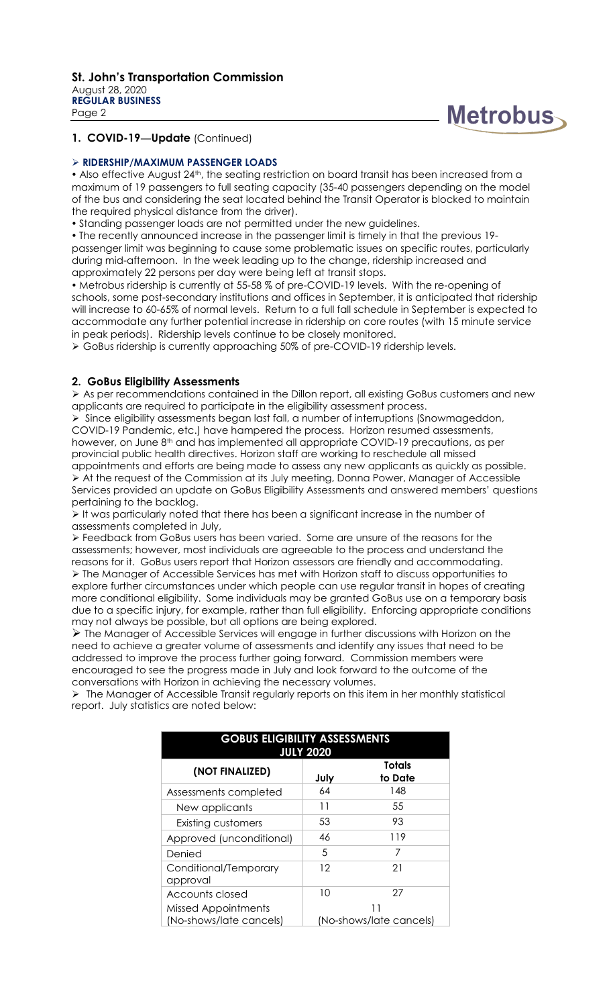

## **1. COVID-19—Update** (Continued)

#### **RIDERSHIP/MAXIMUM PASSENGER LOADS**

• Also effective August 24<sup>th</sup>, the seating restriction on board transit has been increased from a maximum of 19 passengers to full seating capacity (35-40 passengers depending on the model of the bus and considering the seat located behind the Transit Operator is blocked to maintain the required physical distance from the driver).

Standing passenger loads are not permitted under the new guidelines.

 The recently announced increase in the passenger limit is timely in that the previous 19 passenger limit was beginning to cause some problematic issues on specific routes, particularly during mid-afternoon. In the week leading up to the change, ridership increased and approximately 22 persons per day were being left at transit stops.

• Metrobus ridership is currently at 55-58 % of pre-COVID-19 levels. With the re-opening of schools, some post-secondary institutions and offices in September, it is anticipated that ridership will increase to 60-65% of normal levels. Return to a full fall schedule in September is expected to accommodate any further potential increase in ridership on core routes (with 15 minute service in peak periods). Ridership levels continue to be closely monitored.

GoBus ridership is currently approaching 50% of pre-COVID-19 ridership levels.

#### **2. GoBus Eligibility Assessments**

 As per recommendations contained in the Dillon report, all existing GoBus customers and new applicants are required to participate in the eligibility assessment process.

 $\triangleright$  Since eligibility assessments began last fall, a number of interruptions (Snowmageddon, COVID-19 Pandemic, etc.) have hampered the process. Horizon resumed assessments, however, on June 8<sup>th</sup> and has implemented all appropriate COVID-19 precautions, as per provincial public health directives. Horizon staff are working to reschedule all missed appointments and efforts are being made to assess any new applicants as quickly as possible. At the request of the Commission at its July meeting, Donna Power, Manager of Accessible Services provided an update on GoBus Eligibility Assessments and answered members' questions pertaining to the backlog.

It was particularly noted that there has been a significant increase in the number of assessments completed in July,

 Feedback from GoBus users has been varied. Some are unsure of the reasons for the assessments; however, most individuals are agreeable to the process and understand the reasons for it. GoBus users report that Horizon assessors are friendly and accommodating. The Manager of Accessible Services has met with Horizon staff to discuss opportunities to explore further circumstances under which people can use regular transit in hopes of creating more conditional eligibility. Some individuals may be granted GoBus use on a temporary basis due to a specific injury, for example, rather than full eligibility. Enforcing appropriate conditions may not always be possible, but all options are being explored.

 $\triangleright$  The Manager of Accessible Services will engage in further discussions with Horizon on the need to achieve a greater volume of assessments and identify any issues that need to be addressed to improve the process further going forward. Commission members were encouraged to see the progress made in July and look forward to the outcome of the conversations with Horizon in achieving the necessary volumes.

 The Manager of Accessible Transit regularly reports on this item in her monthly statistical report. July statistics are noted below:

| <b>GOBUS ELIGIBILITY ASSESSMENTS</b><br><b>JULY 2020</b> |                         |                          |
|----------------------------------------------------------|-------------------------|--------------------------|
| (NOT FINALIZED)                                          | July                    | <b>Totals</b><br>to Date |
| Assessments completed                                    | 64                      | 148                      |
| New applicants                                           | 11                      | 55                       |
| <b>Existing customers</b>                                | 53                      | 93                       |
| Approved (unconditional)                                 | 46                      | 119                      |
| Denied                                                   | 5                       | 7                        |
| Conditional/Temporary<br>approval                        | 12                      | 21                       |
| Accounts closed                                          | 10                      | 27                       |
| <b>Missed Appointments</b>                               |                         |                          |
| (No-shows/late cancels)                                  | (No-shows/late cancels) |                          |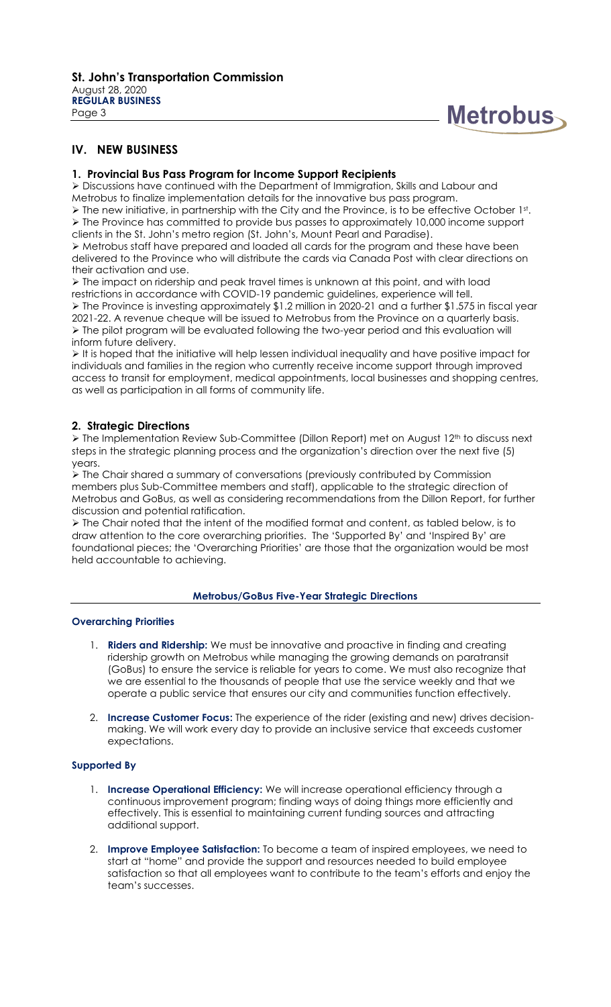

# **IV. NEW BUSINESS**

#### **1. Provincial Bus Pass Program for Income Support Recipients**

 Discussions have continued with the Department of Immigration, Skills and Labour and Metrobus to finalize implementation details for the innovative bus pass program.

 $\triangleright$  The new initiative, in partnership with the City and the Province, is to be effective October 1st.  $\triangleright$  The Province has committed to provide bus passes to approximately 10,000 income support clients in the St. John's metro region (St. John's, Mount Pearl and Paradise).

 Metrobus staff have prepared and loaded all cards for the program and these have been delivered to the Province who will distribute the cards via Canada Post with clear directions on their activation and use.

 The impact on ridership and peak travel times is unknown at this point, and with load restrictions in accordance with COVID-19 pandemic guidelines, experience will tell.  $\triangleright$  The Province is investing approximately \$1.2 million in 2020-21 and a further \$1.575 in fiscal year 2021-22. A revenue cheque will be issued to Metrobus from the Province on a quarterly basis. The pilot program will be evaluated following the two-year period and this evaluation will inform future delivery.

 $\triangleright$  It is hoped that the initiative will help lessen individual inequality and have positive impact for individuals and families in the region who currently receive income support through improved access to transit for employment, medical appointments, local businesses and shopping centres, as well as participation in all forms of community life.

#### **2. Strategic Directions**

 The Implementation Review Sub-Committee (Dillon Report) met on August 12th to discuss next steps in the strategic planning process and the organization's direction over the next five (5) years.

 The Chair shared a summary of conversations (previously contributed by Commission members plus Sub-Committee members and staff), applicable to the strategic direction of Metrobus and GoBus, as well as considering recommendations from the Dillon Report, for further discussion and potential ratification.

 $\triangleright$  The Chair noted that the intent of the modified format and content, as tabled below, is to draw attention to the core overarching priorities. The 'Supported By' and 'Inspired By' are foundational pieces; the 'Overarching Priorities' are those that the organization would be most held accountable to achieving.

#### **Metrobus/GoBus Five-Year Strategic Directions**

#### **Overarching Priorities**

- 1. **Riders and Ridership:** We must be innovative and proactive in finding and creating ridership growth on Metrobus while managing the growing demands on paratransit (GoBus) to ensure the service is reliable for years to come. We must also recognize that we are essential to the thousands of people that use the service weekly and that we operate a public service that ensures our city and communities function effectively.
- 2. **Increase Customer Focus:** The experience of the rider (existing and new) drives decisionmaking. We will work every day to provide an inclusive service that exceeds customer expectations.

#### **Supported By**

- 1. **Increase Operational Efficiency:** We will increase operational efficiency through a continuous improvement program; finding ways of doing things more efficiently and effectively. This is essential to maintaining current funding sources and attracting additional support.
- 2. **Improve Employee Satisfaction:** To become a team of inspired employees, we need to start at "home" and provide the support and resources needed to build employee satisfaction so that all employees want to contribute to the team's efforts and enjoy the team's successes.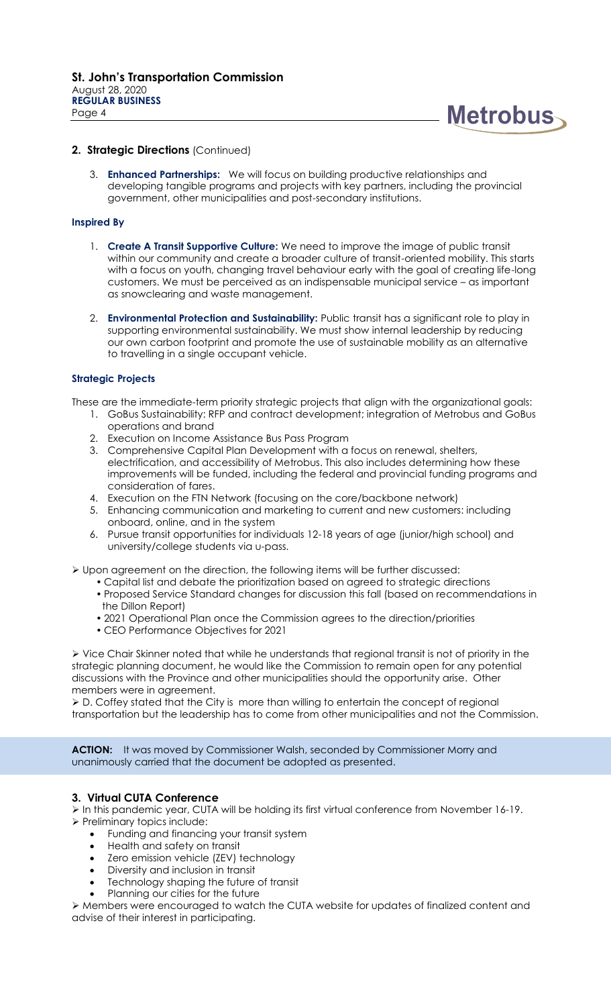

#### 2. Strategic Directions (Continued)

3. **Enhanced Partnerships:** We will focus on building productive relationships and developing tangible programs and projects with key partners, including the provincial government, other municipalities and post-secondary institutions.

#### **Inspired By**

- 1. **Create A Transit Supportive Culture:** We need to improve the image of public transit within our community and create a broader culture of transit-oriented mobility. This starts with a focus on youth, changing travel behaviour early with the goal of creating life-long customers. We must be perceived as an indispensable municipal service – as important as snowclearing and waste management.
- 2. **Environmental Protection and Sustainability:** Public transit has a significant role to play in supporting environmental sustainability. We must show internal leadership by reducing our own carbon footprint and promote the use of sustainable mobility as an alternative to travelling in a single occupant vehicle.

#### **Strategic Projects**

These are the immediate-term priority strategic projects that align with the organizational goals:

- 1. GoBus Sustainability: RFP and contract development; integration of Metrobus and GoBus operations and brand
- 2. Execution on Income Assistance Bus Pass Program
- 3. Comprehensive Capital Plan Development with a focus on renewal, shelters, electrification, and accessibility of Metrobus. This also includes determining how these improvements will be funded, including the federal and provincial funding programs and consideration of fares.
- 4. Execution on the FTN Network (focusing on the core/backbone network)
- 5. Enhancing communication and marketing to current and new customers: including onboard, online, and in the system
- 6. Pursue transit opportunities for individuals 12-18 years of age (junior/high school) and university/college students via u-pass.

Upon agreement on the direction, the following items will be further discussed:

- Capital list and debate the prioritization based on agreed to strategic directions
- Proposed Service Standard changes for discussion this fall (based on recommendations in the Dillon Report)
- 2021 Operational Plan once the Commission agrees to the direction/priorities
- CEO Performance Objectives for 2021

 Vice Chair Skinner noted that while he understands that regional transit is not of priority in the strategic planning document, he would like the Commission to remain open for any potential discussions with the Province and other municipalities should the opportunity arise. Other members were in agreement.

 D. Coffey stated that the City is more than willing to entertain the concept of regional transportation but the leadership has to come from other municipalities and not the Commission.

**ACTION:** It was moved by Commissioner Walsh, seconded by Commissioner Morry and unanimously carried that the document be adopted as presented.

#### **3. Virtual CUTA Conference**

 In this pandemic year, CUTA will be holding its first virtual conference from November 16-19. > Preliminary topics include:

- Funding and financing your transit system
- Health and safety on transit
- Zero emission vehicle (ZEV) technology
- Diversity and inclusion in transit
- Technology shaping the future of transit
- Planning our cities for the future

 Members were encouraged to watch the CUTA website for updates of finalized content and advise of their interest in participating.